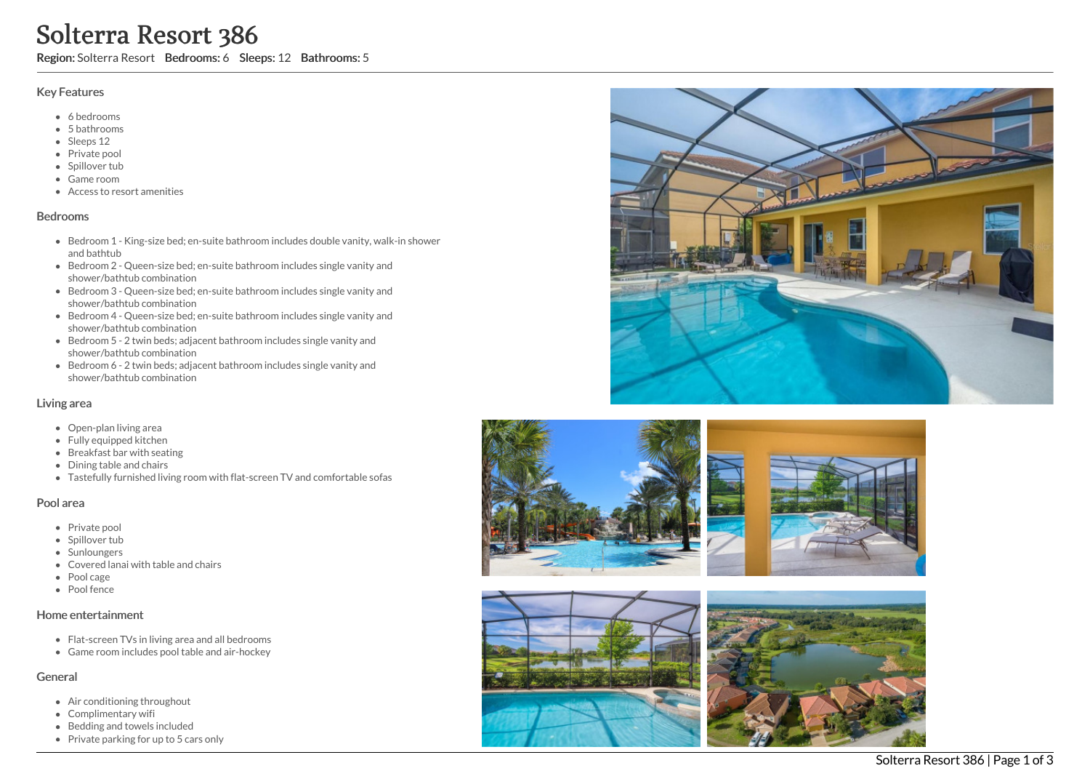# Solterra Resort 386

Region: Solterra Resort Bedrooms: 6 Sleeps: 12 Bathrooms: 5

#### Key Features

- 6 b e d r o o m s
- 5 b a t h r o o m s
- Sleeps 12
- Private pool
- Spillover tub
- Game room
- Access to resort amenities

#### **Bedrooms**

- Bedroom 1 King-size bed; en-suite bathroom includes double vanity, walk-in shower and bathtub
- Bedroom 2 Queen-size bed; en-suite bathroom includes single vanity and shower/bathtub combination
- Bedroom 3 Queen-size bed; en-suite bathroom includes single vanity and shower/bathtub combination
- Bedroom 4 Queen-size bed; en-suite bathroom includes single vanity and shower/bathtub combination
- Bedroom 5 2 twin beds; adjacent bathroom includes single vanity and shower/bathtub combination
- Bedroom 6 2 twin beds; adjacent bathroom includes single vanity and shower/bathtub combination

## Living area

- Open-plan living area
- Fully equipped kitchen
- Breakfast bar with seating
- Dining table and chairs
- Tastefully furnished living room with flat-screen TV and comfortable sofas

## Pool area

- Private pool
- Spillover tub
- Sunloungers
- Covered lanai with table and chairs
- Pool cage
- Pool fence

## Home entertainment

- Flat-screen TVs in living area and all bedrooms
- Game room includes pool table and air-hockey

## General

- Air conditioning throughout
- Complimentary wifi
- Bedding and towels in clu d e d
- Private parking for up to 5 cars only







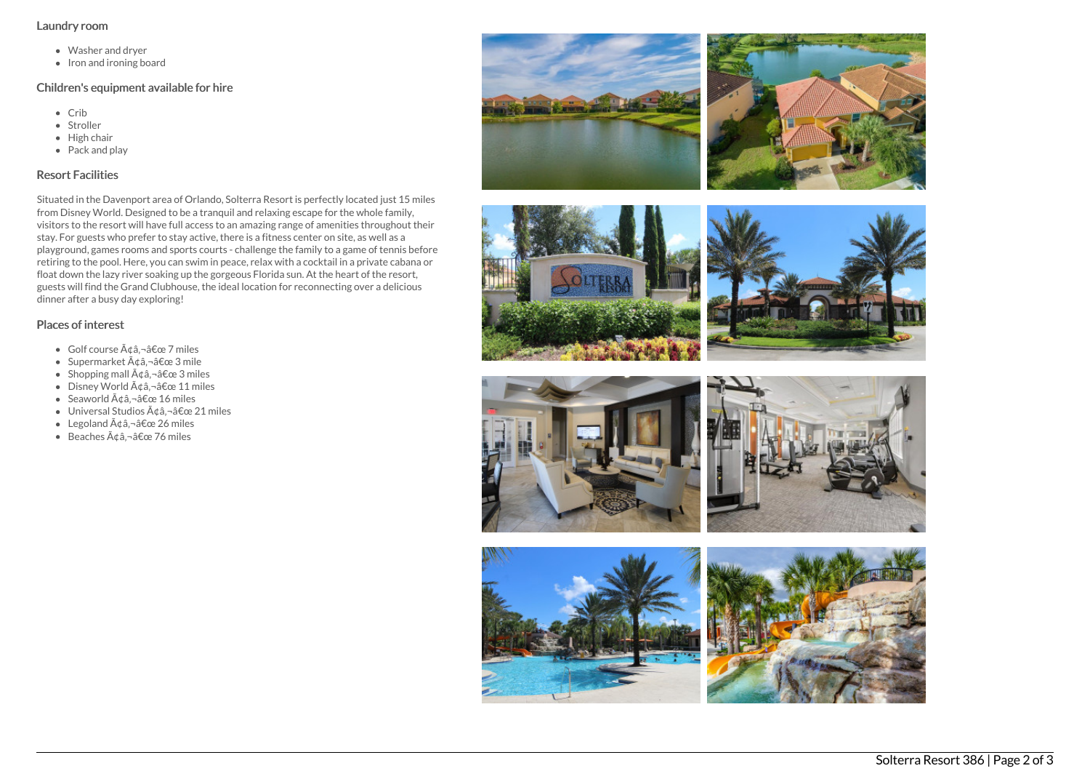#### Laundry room

- Washer and dryer
- Iron and ironing board

## Children's equipment available for hire

- Crib
- Stroller
- $\bullet$  High chair
- Pack and play

# Resort Facilities

Situated in the Davenport area of Orlando, Solterra Resort is perfectly located just 15 miles from Disney World. Designed to be a tranquil and relaxing escape for the whole family, visitors to the resort will have full access to an amazing range of amenities throughout their stay. For guests who prefer to stay active, there is a fitness center on site, as well as a playground, games rooms and sports courts - challenge the family to a game of tennis before retiring to the pool. Here, you can swim in peace, relax with a cocktail in a private cabana or float down the lazy river soaking up the gorgeous Florida sun. At the heart of the resort, guests will find the Grand Clubhouse, the ideal location for reconnecting over a delicious dinner after a busy day exploring!

## Places of interest

- $\bullet$  Golf course  $\tilde{A}$ dâ,  $\neg$ â $\epsilon$ œ 7 miles
- Supermarket  $\tilde{A}$ ¢â,¬â€œ 3 mile
- Shopping mall  $\tilde{A} \notin \hat{a}$ ,  $-\hat{a} \notin \text{ce} 3$  miles
- $\bullet$  Disney World  $\tilde{A}$ câ, -â $\epsilon$ œ 11 miles
- Seaworld  $\tilde{A}$ ¢â,¬â€œ 16 miles
- $\bullet$  Universal Studios  $\tilde{A}$ dâ, $\neg$ â $\epsilon$ œ 21 miles
- Legoland  $\tilde{A} \triangleleft \hat{a} \hat{a} \in \mathbb{C}$  26 miles
- $\bullet$  Beaches  $\tilde{A}$ ¢â.¬â€œ 76 miles